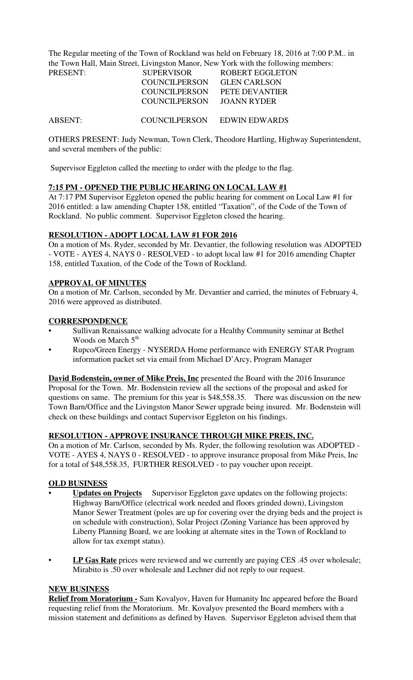The Regular meeting of the Town of Rockland was held on February 18, 2016 at 7:00 P.M.. in the Town Hall, Main Street, Livingston Manor, New York with the following members:

| PRESENT: | <b>SUPERVISOR</b>    | <b>ROBERT EGGLETON</b> |
|----------|----------------------|------------------------|
|          | <b>COUNCILPERSON</b> | <b>GLEN CARLSON</b>    |
|          | COUNCILPERSON        | PETE DEVANTIER         |
|          | COUNCILPERSON        | JOANN RYDER            |
|          |                      |                        |
| ABSENT:  | <b>COUNCILPERSON</b> | <b>EDWIN EDWARDS</b>   |

OTHERS PRESENT: Judy Newman, Town Clerk, Theodore Hartling, Highway Superintendent, and several members of the public:

Supervisor Eggleton called the meeting to order with the pledge to the flag.

### **7:15 PM - OPENED THE PUBLIC HEARING ON LOCAL LAW #1**

At 7:17 PM Supervisor Eggleton opened the public hearing for comment on Local Law #1 for 2016 entitled: a law amending Chapter 158, entitled "Taxation", of the Code of the Town of Rockland. No public comment. Supervisor Eggleton closed the hearing.

### **RESOLUTION - ADOPT LOCAL LAW #1 FOR 2016**

On a motion of Ms. Ryder, seconded by Mr. Devantier, the following resolution was ADOPTED - VOTE - AYES 4, NAYS 0 - RESOLVED - to adopt local law #1 for 2016 amending Chapter 158, entitled Taxation, of the Code of the Town of Rockland.

### **APPROVAL OF MINUTES**

On a motion of Mr. Carlson, seconded by Mr. Devantier and carried, the minutes of February 4, 2016 were approved as distributed.

### **CORRESPONDENCE**

- Sullivan Renaissance walking advocate for a Healthy Community seminar at Bethel Woods on March 5<sup>th</sup>
- Rupco/Green Energy NYSERDA Home performance with ENERGY STAR Program information packet set via email from Michael D'Arcy, Program Manager

**David Bodenstein, owner of Mike Preis, Inc** presented the Board with the 2016 Insurance Proposal for the Town. Mr. Bodenstein review all the sections of the proposal and asked for questions on same. The premium for this year is \$48,558.35. There was discussion on the new Town Barn/Office and the Livingston Manor Sewer upgrade being insured. Mr. Bodenstein will check on these buildings and contact Supervisor Eggleton on his findings.

### **RESOLUTION - APPROVE INSURANCE THROUGH MIKE PREIS, INC.**

On a motion of Mr. Carlson, seconded by Ms. Ryder, the following resolution was ADOPTED - VOTE - AYES 4, NAYS 0 - RESOLVED - to approve insurance proposal from Mike Preis, Inc for a total of \$48,558.35, FURTHER RESOLVED - to pay voucher upon receipt.

### **OLD BUSINESS**

- **Updates on Projects** Supervisor Eggleton gave updates on the following projects: Highway Barn/Office (electrical work needed and floors grinded down), Livingston Manor Sewer Treatment (poles are up for covering over the drying beds and the project is on schedule with construction), Solar Project (Zoning Variance has been approved by Liberty Planning Board, we are looking at alternate sites in the Town of Rockland to allow for tax exempt status).
- **LP Gas Rate** prices were reviewed and we currently are paying CES .45 over wholesale; Mirabito is .50 over wholesale and Lechner did not reply to our request.

#### **NEW BUSINESS**

**Relief from Moratorium -** Sam Kovalyov, Haven for Humanity Inc appeared before the Board requesting relief from the Moratorium. Mr. Kovalyov presented the Board members with a mission statement and definitions as defined by Haven. Supervisor Eggleton advised them that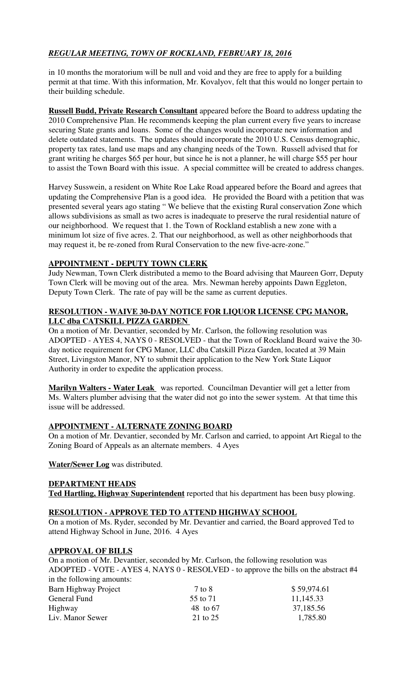# *REGULAR MEETING, TOWN OF ROCKLAND, FEBRUARY 18, 2016*

in 10 months the moratorium will be null and void and they are free to apply for a building permit at that time. With this information, Mr. Kovalyov, felt that this would no longer pertain to their building schedule.

**Russell Budd, Private Research Consultant** appeared before the Board to address updating the 2010 Comprehensive Plan. He recommends keeping the plan current every five years to increase securing State grants and loans. Some of the changes would incorporate new information and delete outdated statements. The updates should incorporate the 2010 U.S. Census demographic, property tax rates, land use maps and any changing needs of the Town. Russell advised that for grant writing he charges \$65 per hour, but since he is not a planner, he will charge \$55 per hour to assist the Town Board with this issue. A special committee will be created to address changes.

Harvey Susswein, a resident on White Roe Lake Road appeared before the Board and agrees that updating the Comprehensive Plan is a good idea. He provided the Board with a petition that was presented several years ago stating " We believe that the existing Rural conservation Zone which allows subdivisions as small as two acres is inadequate to preserve the rural residential nature of our neighborhood. We request that 1. the Town of Rockland establish a new zone with a minimum lot size of five acres. 2. That our neighborhood, as well as other neighborhoods that may request it, be re-zoned from Rural Conservation to the new five-acre-zone."

## **APPOINTMENT - DEPUTY TOWN CLERK**

Judy Newman, Town Clerk distributed a memo to the Board advising that Maureen Gorr, Deputy Town Clerk will be moving out of the area. Mrs. Newman hereby appoints Dawn Eggleton, Deputy Town Clerk. The rate of pay will be the same as current deputies.

## **RESOLUTION - WAIVE 30-DAY NOTICE FOR LIQUOR LICENSE CPG MANOR, LLC dba CATSKILL PIZZA GARDEN**

On a motion of Mr. Devantier, seconded by Mr. Carlson, the following resolution was ADOPTED - AYES 4, NAYS 0 - RESOLVED - that the Town of Rockland Board waive the 30 day notice requirement for CPG Manor, LLC dba Catskill Pizza Garden, located at 39 Main Street, Livingston Manor, NY to submit their application to the New York State Liquor Authority in order to expedite the application process.

**Marilyn Walters - Water Leak** was reported. Councilman Devantier will get a letter from Ms. Walters plumber advising that the water did not go into the sewer system. At that time this issue will be addressed.

## **APPOINTMENT - ALTERNATE ZONING BOARD**

On a motion of Mr. Devantier, seconded by Mr. Carlson and carried, to appoint Art Riegal to the Zoning Board of Appeals as an alternate members. 4 Ayes

**Water/Sewer Log** was distributed.

## **DEPARTMENT HEADS**

**Ted Hartling, Highway Superintendent** reported that his department has been busy plowing.

## **RESOLUTION - APPROVE TED TO ATTEND HIGHWAY SCHOOL**

On a motion of Ms. Ryder, seconded by Mr. Devantier and carried, the Board approved Ted to attend Highway School in June, 2016. 4 Ayes

## **APPROVAL OF BILLS**

On a motion of Mr. Devantier, seconded by Mr. Carlson, the following resolution was ADOPTED - VOTE - AYES 4, NAYS 0 - RESOLVED - to approve the bills on the abstract #4 in the following amounts:

| In the following unionities. |          |             |
|------------------------------|----------|-------------|
| Barn Highway Project         | 7 to 8   | \$59,974.61 |
| General Fund                 | 55 to 71 | 11,145.33   |
| Highway                      | 48 to 67 | 37,185.56   |
| Liv. Manor Sewer             | 21 to 25 | 1,785.80    |
|                              |          |             |